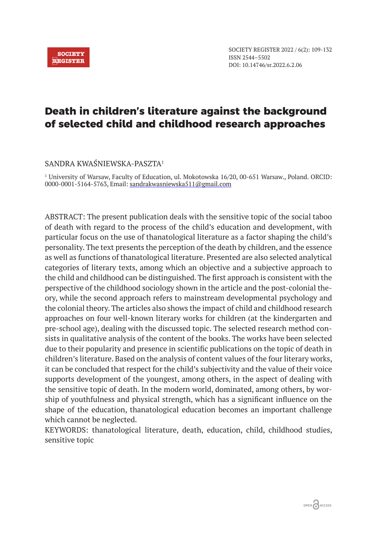# **Death in children's literature against the background of selected child and childhood research approaches**

# SANDRA KWAŚNIEWSKA-PASZTA<sup>1</sup>

1 University of Warsaw, Faculty of Education, ul. Mokotowska 16/20, 00-651 Warsaw., Poland. ORCID: 0000-0001-5164-5763, Email: sandrakwasniewska511@gmail.com

ABSTRACT: The present publication deals with the sensitive topic of the social taboo of death with regard to the process of the child's education and development, with particular focus on the use of thanatological literature as a factor shaping the child's personality. The text presents the perception of the death by children, and the essence as well as functions of thanatological literature. Presented are also selected analytical categories of literary texts, among which an objective and a subjective approach to the child and childhood can be distinguished. The first approach is consistent with the perspective of the childhood sociology shown in the article and the post-colonial theory, while the second approach refers to mainstream developmental psychology and the colonial theory. The articles also shows the impact of child and childhood research approaches on four well-known literary works for children (at the kindergarten and pre-school age), dealing with the discussed topic. The selected research method consists in qualitative analysis of the content of the books. The works have been selected due to their popularity and presence in scientific publications on the topic of death in children's literature. Based on the analysis of content values of the four literary works, it can be concluded that respect for the child's subjectivity and the value of their voice supports development of the youngest, among others, in the aspect of dealing with the sensitive topic of death. In the modern world, dominated, among others, by worship of youthfulness and physical strength, which has a significant influence on the shape of the education, thanatological education becomes an important challenge which cannot be neglected.

KEYWORDS: thanatological literature, death, education, child, childhood studies, sensitive topic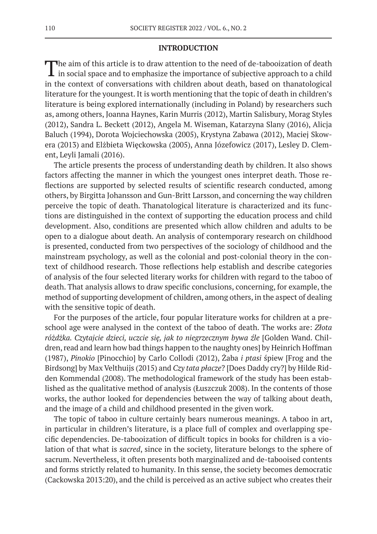#### **INTRODUCTION**

The aim of this article is to draw attention to the need of de-tabooization of death in social space and to emphasize the importance of subjective approach to a child in the context of conversations with children about death, based on thanatological literature for the youngest. It is worth mentioning that the topic of death in children's literature is being explored internationally (including in Poland) by researchers such as, among others, Joanna Haynes, Karin Murris (2012), Martin Salisbury, Morag Styles (2012), Sandra L. Beckett (2012), Angela M. Wiseman, Katarzyna Slany (2016), Alicja Baluch (1994), Dorota Wojciechowska (2005), Krystyna Zabawa (2012), Maciej Skowera (2013) and Elżbieta Więckowska (2005), Anna Józefowicz (2017), Lesley D. Clement, Leyli Jamali (2016).

The article presents the process of understanding death by children. It also shows factors affecting the manner in which the youngest ones interpret death. Those reflections are supported by selected results of scientific research conducted, among others, by Birgitta Johansson and Gun-Britt Larsson, and concerning the way children perceive the topic of death. Thanatological literature is characterized and its functions are distinguished in the context of supporting the education process and child development. Also, conditions are presented which allow children and adults to be open to a dialogue about death. An analysis of contemporary research on childhood is presented, conducted from two perspectives of the sociology of childhood and the mainstream psychology, as well as the colonial and post-colonial theory in the context of childhood research. Those reflections help establish and describe categories of analysis of the four selected literary works for children with regard to the taboo of death. That analysis allows to draw specific conclusions, concerning, for example, the method of supporting development of children, among others, in the aspect of dealing with the sensitive topic of death.

For the purposes of the article, four popular literature works for children at a preschool age were analysed in the context of the taboo of death. The works are: *Złota różdżka. Czytajcie dzieci, uczcie się, jak to niegrzecznym bywa źle* [Golden Wand. Children, read and learn how bad things happen to the naughty ones] by Heinrich Hoffman (1987), *Pinokio* [Pinocchio] by Carlo Collodi (2012), Żaba *i ptasi* śpiew [Frog and the Birdsong] by Max Velthuijs (2015) and *Czy tata płacze*? [Does Daddy cry?] by Hilde Ridden Kommendal (2008). The methodological framework of the study has been established as the qualitative method of analysis (Łuszczuk 2008). In the contents of those works, the author looked for dependencies between the way of talking about death, and the image of a child and childhood presented in the given work.

The topic of taboo in culture certainly bears numerous meanings. A taboo in art, in particular in children's literature, is a place full of complex and overlapping specific dependencies. De-tabooization of difficult topics in books for children is a violation of that what is *sacred*, since in the society, literature belongs to the sphere of sacrum. Nevertheless, it often presents both marginalized and de-tabooised contents and forms strictly related to humanity. In this sense, the society becomes democratic (Cackowska 2013:20), and the child is perceived as an active subject who creates their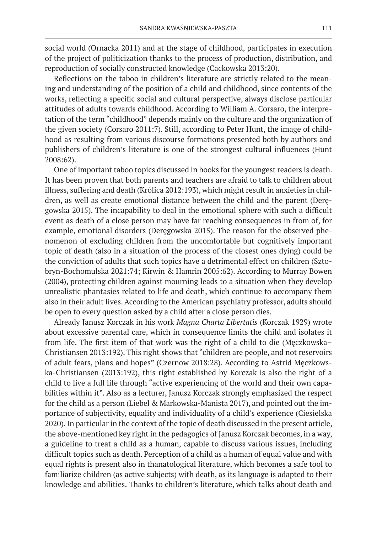social world (Ornacka 2011) and at the stage of childhood, participates in execution of the project of politicization thanks to the process of production, distribution, and reproduction of socially constructed knowledge (Cackowska 2013:20).

Reflections on the taboo in children's literature are strictly related to the meaning and understanding of the position of a child and childhood, since contents of the works, reflecting a specific social and cultural perspective, always disclose particular attitudes of adults towards childhood. According to William A. Corsaro, the interpretation of the term "childhood" depends mainly on the culture and the organization of the given society (Corsaro 2011:7). Still, according to Peter Hunt, the image of childhood as resulting from various discourse formations presented both by authors and publishers of children's literature is one of the strongest cultural influences (Hunt 2008:62).

One of important taboo topics discussed in books for the youngest readers is death. It has been proven that both parents and teachers are afraid to talk to children about illness, suffering and death (Królica 2012:193), which might result in anxieties in children, as well as create emotional distance between the child and the parent (Deręgowska 2015). The incapability to deal in the emotional sphere with such a difficult event as death of a close person may have far reaching consequences in from of, for example, emotional disorders (Deręgowska 2015). The reason for the observed phenomenon of excluding children from the uncomfortable but cognitively important topic of death (also in a situation of the process of the closest ones dying) could be the conviction of adults that such topics have a detrimental effect on children (Sztobryn-Bochomulska 2021:74; Kirwin & Hamrin 2005:62). According to Murray Bowen (2004), protecting children against mourning leads to a situation when they develop unrealistic phantasies related to life and death, which continue to accompany them also in their adult lives. According to the American psychiatry professor, adults should be open to every question asked by a child after a close person dies.

Already Janusz Korczak in his work *Magna Charta Libertatis* (Korczak 1929) wrote about excessive parental care, which in consequence limits the child and isolates it from life. The first item of that work was the right of a child to die (Męczkowska– Christiansen 2013:192). This right shows that "children are people, and not reservoirs of adult fears, plans and hopes" (Czernow 2018:28). According to Astrid Męczkowska-Christiansen (2013:192), this right established by Korczak is also the right of a child to live a full life through "active experiencing of the world and their own capabilities within it". Also as a lecturer, Janusz Korczak strongly emphasized the respect for the child as a person (Liebel & Markowska-Manista 2017), and pointed out the importance of subjectivity, equality and individuality of a child's experience (Ciesielska 2020). In particular in the context of the topic of death discussed in the present article, the above-mentioned key right in the pedagogics of Janusz Korczak becomes, in a way, a guideline to treat a child as a human, capable to discuss various issues, including difficult topics such as death. Perception of a child as a human of equal value and with equal rights is present also in thanatological literature, which becomes a safe tool to familiarize children (as active subjects) with death, as its language is adapted to their knowledge and abilities. Thanks to children's literature, which talks about death and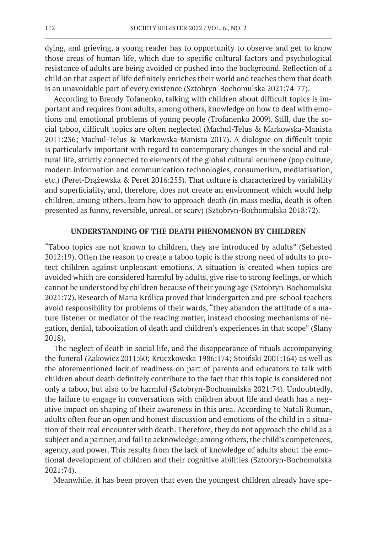dying, and grieving, a young reader has to opportunity to observe and get to know those areas of human life, which due to specific cultural factors and psychological resistance of adults are being avoided or pushed into the background. Reflection of a child on that aspect of life definitely enriches their world and teaches them that death is an unavoidable part of every existence (Sztobryn-Bochomulska 2021:74-77).

According to Brendy Tofanenko, talking with children about difficult topics is important and requires from adults, among others, knowledge on how to deal with emotions and emotional problems of young people (Trofanenko 2009). Still, due the social taboo, difficult topics are often neglected (Machul-Telus & Markowska-Manista 2011:236; Machul-Telus & Markowska-Manista 2017). A dialogue on difficult topic is particularly important with regard to contemporary changes in the social and cultural life, strictly connected to elements of the global cultural ecumene (pop culture, modern information and communication technologies, consumerism, mediatisation, etc.) (Peret-Drążewska & Peret 2016:255). That culture is characterized by variability and superficiality, and, therefore, does not create an environment which would help children, among others, learn how to approach death (in mass media, death is often presented as funny, reversible, unreal, or scary) (Sztobryn-Bochomulska 2018:72).

## **UNDERSTANDING OF THE DEATH PHENOMENON BY CHILDREN**

"Taboo topics are not known to children, they are introduced by adults" (Sehested 2012:19). Often the reason to create a taboo topic is the strong need of adults to protect children against unpleasant emotions. A situation is created when topics are avoided which are considered harmful by adults, give rise to strong feelings, or which cannot be understood by children because of their young age (Sztobryn-Bochomulska 2021:72). Research of Maria Królica proved that kindergarten and pre-school teachers avoid responsibility for problems of their wards, "they abandon the attitude of a mature listener or mediator of the reading matter, instead choosing mechanisms of negation, denial, tabooization of death and children's experiences in that scope" (Slany 2018).

The neglect of death in social life, and the disappearance of rituals accompanying the funeral (Zakowicz 2011:60; Kruczkowska 1986:174; Stoiński 2001:164) as well as the aforementioned lack of readiness on part of parents and educators to talk with children about death definitely contribute to the fact that this topic is considered not only a taboo, but also to be harmful (Sztobryn-Bochomulska 2021:74). Undoubtedly, the failure to engage in conversations with children about life and death has a negative impact on shaping of their awareness in this area. According to Natali Ruman, adults often fear an open and honest discussion and emotions of the child in a situation of their real encounter with death. Therefore, they do not approach the child as a subject and a partner, and fail to acknowledge, among others, the child's competences, agency, and power. This results from the lack of knowledge of adults about the emotional development of children and their cognitive abilities (Sztobryn-Bochomulska 2021:74).

Meanwhile, it has been proven that even the youngest children already have spe-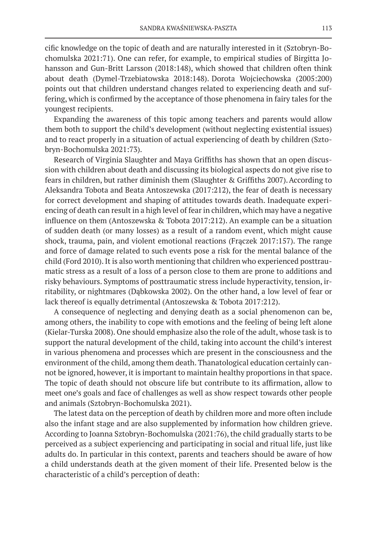cific knowledge on the topic of death and are naturally interested in it (Sztobryn-Bochomulska 2021:71). One can refer, for example, to empirical studies of Birgitta Johansson and Gun-Britt Larsson (2018:148), which showed that children often think about death (Dymel-Trzebiatowska 2018:148). Dorota Wojciechowska (2005:200) points out that children understand changes related to experiencing death and suffering, which is confirmed by the acceptance of those phenomena in fairy tales for the youngest recipients.

Expanding the awareness of this topic among teachers and parents would allow them both to support the child's development (without neglecting existential issues) and to react properly in a situation of actual experiencing of death by children (Sztobryn-Bochomulska 2021:73).

Research of Virginia Slaughter and Maya Griffiths has shown that an open discussion with children about death and discussing its biological aspects do not give rise to fears in children, but rather diminish them (Slaughter & Griffiths 2007).According to Aleksandra Tobota and Beata Antoszewska (2017:212), the fear of death is necessary for correct development and shaping of attitudes towards death. Inadequate experiencing of death can result in a high level of fear in children, which may have a negative influence on them (Antoszewska & Tobota 2017:212). An example can be a situation of sudden death (or many losses) as a result of a random event, which might cause shock, trauma, pain, and violent emotional reactions (Frączek 2017:157). The range and force of damage related to such events pose a risk for the mental balance of the child (Ford 2010). It is also worth mentioning that children who experienced posttraumatic stress as a result of a loss of a person close to them are prone to additions and risky behaviours. Symptoms of posttraumatic stress include hyperactivity, tension, irritability, or nightmares (Dąbkowska 2002). On the other hand, a low level of fear or lack thereof is equally detrimental (Antoszewska & Tobota 2017:212).

A consequence of neglecting and denying death as a social phenomenon can be, among others, the inability to cope with emotions and the feeling of being left alone (Kielar-Turska 2008). One should emphasize also the role of the adult, whose task is to support the natural development of the child, taking into account the child's interest in various phenomena and processes which are present in the consciousness and the environment of the child, among them death. Thanatological education certainly cannot be ignored, however, it is important to maintain healthy proportions in that space. The topic of death should not obscure life but contribute to its affirmation, allow to meet one's goals and face of challenges as well as show respect towards other people and animals (Sztobryn-Bochomulska 2021).

The latest data on the perception of death by children more and more often include also the infant stage and are also supplemented by information how children grieve. According to Joanna Sztobryn-Bochomulska (2021:76), the child gradually starts to be perceived as a subject experiencing and participating in social and ritual life, just like adults do. In particular in this context, parents and teachers should be aware of how a child understands death at the given moment of their life. Presented below is the characteristic of a child's perception of death: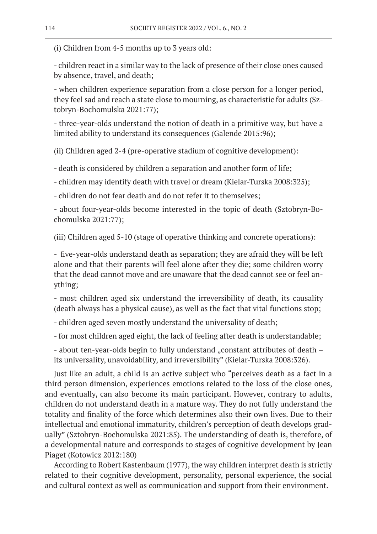(i) Children from 4-5 months up to 3 years old:

- children react in a similar way to the lack of presence of their close ones caused by absence, travel, and death;

- when children experience separation from a close person for a longer period, they feel sad and reach a state close to mourning, as characteristic for adults (Sztobryn-Bochomulska 2021:77);

- three-year-olds understand the notion of death in a primitive way, but have a limited ability to understand its consequences (Galende 2015:96);

(ii) Children aged 2-4 (pre-operative stadium of cognitive development):

- death is considered by children a separation and another form of life;

- children may identify death with travel or dream (Kielar-Turska 2008:325);

- children do not fear death and do not refer it to themselves;

- about four-year-olds become interested in the topic of death (Sztobryn-Bochomulska 2021:77);

(iii) Children aged 5-10 (stage of operative thinking and concrete operations):

- five-year-olds understand death as separation; they are afraid they will be left alone and that their parents will feel alone after they die; some children worry that the dead cannot move and are unaware that the dead cannot see or feel anything;

- most children aged six understand the irreversibility of death, its causality (death always has a physical cause), as well as the fact that vital functions stop;

- children aged seven mostly understand the universality of death;

- for most children aged eight, the lack of feeling after death is understandable;

- about ten-year-olds begin to fully understand "constant attributes of death – its universality, unavoidability, and irreversibility" (Kielar-Turska 2008:326).

Just like an adult, a child is an active subject who "perceives death as a fact in a third person dimension, experiences emotions related to the loss of the close ones, and eventually, can also become its main participant. However, contrary to adults, children do not understand death in a mature way. They do not fully understand the totality and finality of the force which determines also their own lives. Due to their intellectual and emotional immaturity, children's perception of death develops gradually" (Sztobryn-Bochomulska 2021:85). The understanding of death is, therefore, of a developmental nature and corresponds to stages of cognitive development by Jean Piaget (Kotowicz 2012:180)

According to Robert Kastenbaum (1977), the way children interpret death is strictly related to their cognitive development, personality, personal experience, the social and cultural context as well as communication and support from their environment.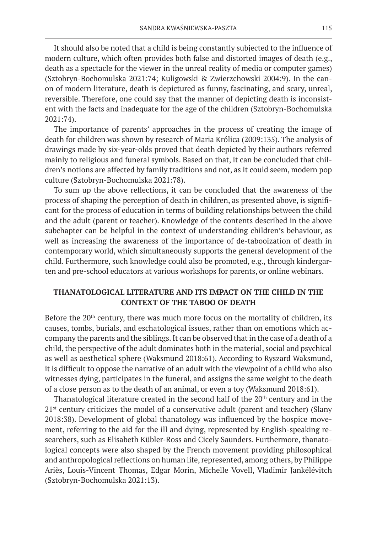It should also be noted that a child is being constantly subjected to the influence of modern culture, which often provides both false and distorted images of death (e.g., death as a spectacle for the viewer in the unreal reality of media or computer games) (Sztobryn-Bochomulska 2021:74; Kuligowski & Zwierzchowski 2004:9). In the canon of modern literature, death is depictured as funny, fascinating, and scary, unreal, reversible. Therefore, one could say that the manner of depicting death is inconsistent with the facts and inadequate for the age of the children (Sztobryn-Bochomulska 2021:74).

The importance of parents' approaches in the process of creating the image of death for children was shown by research of Maria Królica (2009:135). The analysis of drawings made by six-year-olds proved that death depicted by their authors referred mainly to religious and funeral symbols. Based on that, it can be concluded that children's notions are affected by family traditions and not, as it could seem, modern pop culture (Sztobryn-Bochomulska 2021:78).

To sum up the above reflections, it can be concluded that the awareness of the process of shaping the perception of death in children, as presented above, is significant for the process of education in terms of building relationships between the child and the adult (parent or teacher). Knowledge of the contents described in the above subchapter can be helpful in the context of understanding children's behaviour, as well as increasing the awareness of the importance of de-tabooization of death in contemporary world, which simultaneously supports the general development of the child. Furthermore, such knowledge could also be promoted, e.g., through kindergarten and pre-school educators at various workshops for parents, or online webinars.

## **THANATOLOGICAL LITERATURE AND ITS IMPACT ON THE CHILD IN THE CONTEXT OF THE TABOO OF DEATH**

Before the  $20<sup>th</sup>$  century, there was much more focus on the mortality of children, its causes, tombs, burials, and eschatological issues, rather than on emotions which accompany the parents and the siblings. It can be observed that in the case of a death of a child, the perspective of the adult dominates both in the material, social and psychical as well as aesthetical sphere (Waksmund 2018:61). According to Ryszard Waksmund, it is difficult to oppose the narrative of an adult with the viewpoint of a child who also witnesses dying, participates in the funeral, and assigns the same weight to the death of a close person as to the death of an animal, or even a toy (Waksmund 2018:61).

Thanatological literature created in the second half of the  $20<sup>th</sup>$  century and in the  $21<sup>st</sup>$  century criticizes the model of a conservative adult (parent and teacher) (Slany 2018:38). Development of global thanatology was influenced by the hospice movement, referring to the aid for the ill and dying, represented by English-speaking researchers, such as Elisabeth Kübler-Ross and Cicely Saunders. Furthermore, thanatological concepts were also shaped by the French movement providing philosophical and anthropological reflections on human life, represented, among others, by Philippe Ariès, Louis-Vincent Thomas, Edgar Morin, Michelle Vovell, Vladimir Jankélévitch (Sztobryn-Bochomulska 2021:13).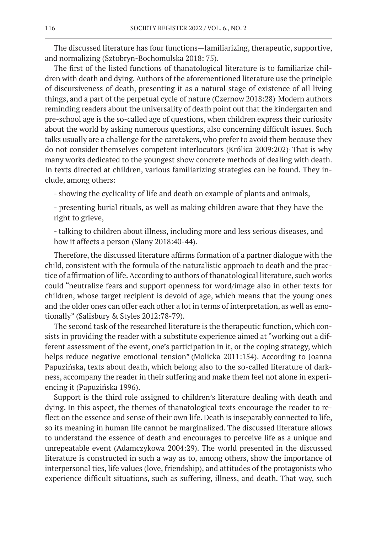The discussed literature has four functions—familiarizing, therapeutic, supportive, and normalizing (Sztobryn-Bochomulska 2018: 75).

The first of the listed functions of thanatological literature is to familiarize children with death and dying. Authors of the aforementioned literature use the principle of discursiveness of death, presenting it as a natural stage of existence of all living things, and a part of the perpetual cycle of nature (Czernow 2018:28). Modern authors reminding readers about the universality of death point out that the kindergarten and pre-school age is the so-called age of questions, when children express their curiosity about the world by asking numerous questions, also concerning difficult issues. Such talks usually are a challenge for the caretakers, who prefer to avoid them because they do not consider themselves competent interlocutors (Królica 2009:202). That is why many works dedicated to the youngest show concrete methods of dealing with death. In texts directed at children, various familiarizing strategies can be found. They include, among others:

- showing the cyclicality of life and death on example of plants and animals,

- presenting burial rituals, as well as making children aware that they have the right to grieve,

- talking to children about illness, including more and less serious diseases, and how it affects a person (Slany 2018:40-44).

Therefore, the discussed literature affirms formation of a partner dialogue with the child, consistent with the formula of the naturalistic approach to death and the practice of affirmation of life. According to authors of thanatological literature, such works could "neutralize fears and support openness for word/image also in other texts for children, whose target recipient is devoid of age, which means that the young ones and the older ones can offer each other a lot in terms of interpretation, as well as emotionally" (Salisbury & Styles 2012:78-79).

The second task of the researched literature is the therapeutic function, which consists in providing the reader with a substitute experience aimed at "working out a different assessment of the event, one's participation in it, or the coping strategy, which helps reduce negative emotional tension" (Molicka 2011:154). According to Joanna Papuzińska, texts about death, which belong also to the so-called literature of darkness, accompany the reader in their suffering and make them feel not alone in experiencing it (Papuzińska 1996).

Support is the third role assigned to children's literature dealing with death and dying. In this aspect, the themes of thanatological texts encourage the reader to reflect on the essence and sense of their own life. Death is inseparably connected to life, so its meaning in human life cannot be marginalized. The discussed literature allows to understand the essence of death and encourages to perceive life as a unique and unrepeatable event (Adamczykowa 2004:29). The world presented in the discussed literature is constructed in such a way as to, among others, show the importance of interpersonal ties, life values (love, friendship), and attitudes of the protagonists who experience difficult situations, such as suffering, illness, and death. That way, such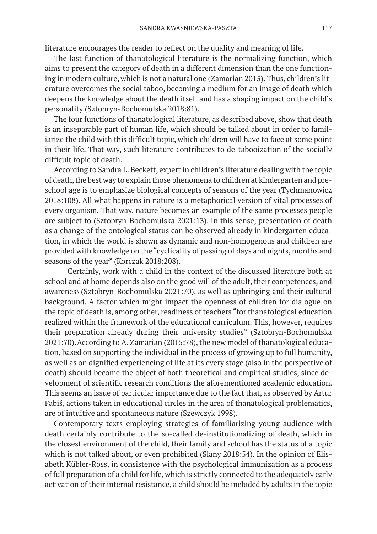literature encourages the reader to reflect on the quality and meaning of life.

The last function of thanatological literature is the normalizing function, which aims to present the category of death in a different dimension than the one functioning in modern culture, which is not a natural one (Zamarian 2015). Thus, children's literature overcomes the social taboo, becoming a medium for an image of death which deepens the knowledge about the death itself and has a shaping impact on the child's personality (Sztobryn-Bochomulska 2018:81).

The four functions of thanatological literature, as described above, show that death is an inseparable part of human life, which should be talked about in order to familiarize the child with this difficult topic, which children will have to face at some point in their life. That way, such literature contributes to de-tabooization of the socially difficult topic of death.

According to Sandra L. Beckett, expert in children's literature dealing with the topic of death, the best way to explain those phenomena to children at kindergarten and preschool age is to emphasize biological concepts of seasons of the year (Tychmanowicz 2018:108). All what happens in nature is a metaphorical version of vital processes of every organism. That way, nature becomes an example of the same processes people are subject to (Sztobryn-Bochomulska 2021:13). In this sense, presentation of death as a change of the ontological status can be observed already in kindergarten education, in which the world is shown as dynamic and non-homogenous and children are provided with knowledge on the "cyclicality of passing of days and nights, months and seasons of the year" (Korczak 2018:208).

Certainly, work with a child in the context of the discussed literature both at school and at home depends also on the good will of the adult, their competences, and awareness (Sztobryn-Bochomulska 2021:70), as well as upbringing and their cultural background. A factor which might impact the openness of children for dialogue on the topic of death is, among other, readiness of teachers "for thanatological education realized within the framework of the educational curriculum. This, however, requires their preparation already during their university studies" (Sztobryn-Bochomulska 2021:70).According to A. Zamarian (2015:78), the new model of thanatological education, based on supporting the individual in the process of growing up to full humanity, as well as on dignified experiencing of life at its every stage (also in the perspective of death) should become the object of both theoretical and empirical studies, since development of scientific research conditions the aforementioned academic education. This seems an issue of particular importance due to the fact that, as observed by Artur Fabiś, actions taken in educational circles in the area of thanatological problematics, are of intuitive and spontaneous nature (Szewczyk 1998).

Contemporary texts employing strategies of familiarizing young audience with death certainly contribute to the so-called de-institutionalizing of death, which in the closest environment of the child, their family and school has the status of a topic which is not talked about, or even prohibited (Slany 2018:54). In the opinion of Elisabeth Kübler-Ross, in consistence with the psychological immunization as a process of full preparation of a child for life, which is strictly connected to the adequately early activation of their internal resistance, a child should be included by adults in the topic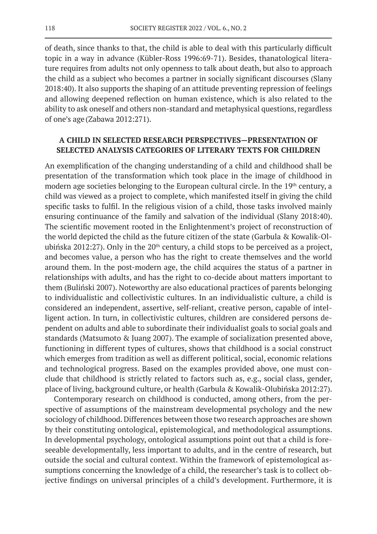of death, since thanks to that, the child is able to deal with this particularly difficult topic in a way in advance (Kübler-Ross 1996:69-71). Besides, thanatological literature requires from adults not only openness to talk about death, but also to approach the child as a subject who becomes a partner in socially significant discourses (Slany 2018:40). It also supports the shaping of an attitude preventing repression of feelings and allowing deepened reflection on human existence, which is also related to the ability to ask oneself and others non-standard and metaphysical questions, regardless of one's age (Zabawa 2012:271).

## **A CHILD IN SELECTED RESEARCH PERSPECTIVES—PRESENTATION OF SELECTED ANALYSIS CATEGORIES OF LITERARY TEXTS FOR CHILDREN**

An exemplification of the changing understanding of a child and childhood shall be presentation of the transformation which took place in the image of childhood in modern age societies belonging to the European cultural circle. In the 19<sup>th</sup> century, a child was viewed as a project to complete, which manifested itself in giving the child specific tasks to fulfil. In the religious vision of a child, those tasks involved mainly ensuring continuance of the family and salvation of the individual (Slany 2018:40). The scientific movement rooted in the Enlightenment's project of reconstruction of the world depicted the child as the future citizen of the state (Garbula & Kowalik-Olubińska 2012:27). Only in the  $20<sup>th</sup>$  century, a child stops to be perceived as a project, and becomes value, a person who has the right to create themselves and the world around them. In the post-modern age, the child acquires the status of a partner in relationships with adults, and has the right to co-decide about matters important to them (Buliński 2007). Noteworthy are also educational practices of parents belonging to individualistic and collectivistic cultures. In an individualistic culture, a child is considered an independent, assertive, self-reliant, creative person, capable of intelligent action. In turn, in collectivistic cultures, children are considered persons dependent on adults and able to subordinate their individualist goals to social goals and standards (Matsumoto & Juang 2007). The example of socialization presented above, functioning in different types of cultures, shows that childhood is a social construct which emerges from tradition as well as different political, social, economic relations and technological progress. Based on the examples provided above, one must conclude that childhood is strictly related to factors such as, e.g., social class, gender, place of living, background culture, or health (Garbula & Kowalik-Olubińska 2012:27).

Contemporary research on childhood is conducted, among others, from the perspective of assumptions of the mainstream developmental psychology and the new sociology of childhood. Differences between those two research approaches are shown by their constituting ontological, epistemological, and methodological assumptions. In developmental psychology, ontological assumptions point out that a child is foreseeable developmentally, less important to adults, and in the centre of research, but outside the social and cultural context. Within the framework of epistemological assumptions concerning the knowledge of a child, the researcher's task is to collect objective findings on universal principles of a child's development. Furthermore, it is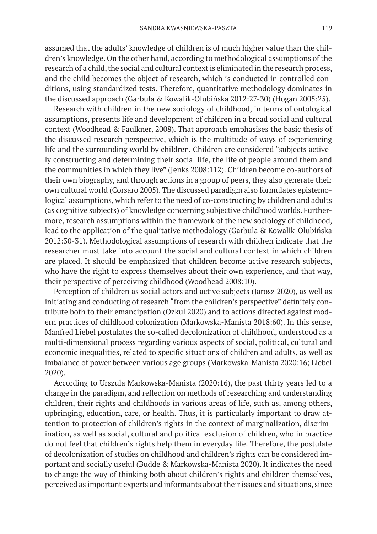assumed that the adults' knowledge of children is of much higher value than the children's knowledge. On the other hand, according to methodological assumptions of the research of a child, the social and cultural context is eliminated in the research process, and the child becomes the object of research, which is conducted in controlled conditions, using standardized tests. Therefore, quantitative methodology dominates in the discussed approach (Garbula & Kowalik-Olubińska 2012:27-30) (Hogan 2005:25).

Research with children in the new sociology of childhood, in terms of ontological assumptions, presents life and development of children in a broad social and cultural context (Woodhead & Faulkner, 2008). That approach emphasises the basic thesis of the discussed research perspective, which is the multitude of ways of experiencing life and the surrounding world by children. Children are considered "subjects actively constructing and determining their social life, the life of people around them and the communities in which they live" (Jenks 2008:112). Children become co-authors of their own biography, and through actions in a group of peers, they also generate their own cultural world (Corsaro 2005). The discussed paradigm also formulates epistemological assumptions, which refer to the need of co-constructing by children and adults (as cognitive subjects) of knowledge concerning subjective childhood worlds. Furthermore, research assumptions within the framework of the new sociology of childhood, lead to the application of the qualitative methodology (Garbula & Kowalik-Olubińska 2012:30-31). Methodological assumptions of research with children indicate that the researcher must take into account the social and cultural context in which children are placed. It should be emphasized that children become active research subjects, who have the right to express themselves about their own experience, and that way, their perspective of perceiving childhood (Woodhead 2008:10).

Perception of children as social actors and active subjects (Jarosz 2020), as well as initiating and conducting of research "from the children's perspective" definitely contribute both to their emancipation (Ozkul 2020) and to actions directed against modern practices of childhood colonization (Markowska-Manista 2018:60). In this sense, Manfred Liebel postulates the so-called decolonization of childhood, understood as a multi-dimensional process regarding various aspects of social, political, cultural and economic inequalities, related to specific situations of children and adults, as well as imbalance of power between various age groups (Markowska-Manista 2020:16; Liebel 2020).

According to Urszula Markowska-Manista (2020:16), the past thirty years led to a change in the paradigm, and reflection on methods of researching and understanding children, their rights and childhoods in various areas of life, such as, among others, upbringing, education, care, or health. Thus, it is particularly important to draw attention to protection of children's rights in the context of marginalization, discrimination, as well as social, cultural and political exclusion of children, who in practice do not feel that children's rights help them in everyday life. Therefore, the postulate of decolonization of studies on childhood and children's rights can be considered important and socially useful (Budde & Markowska-Manista 2020). It indicates the need to change the way of thinking both about children's rights and children themselves, perceived as important experts and informants about their issues and situations, since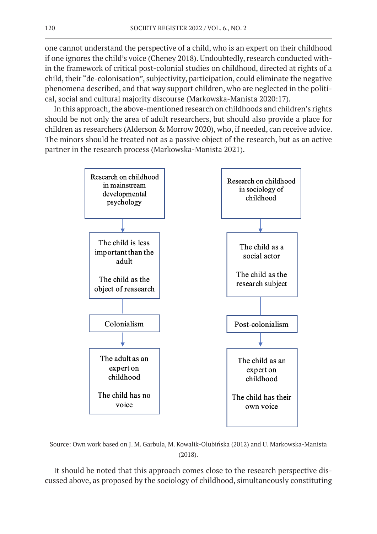one cannot understand the perspective of a child, who is an expert on their childhood if one ignores the child's voice (Cheney 2018). Undoubtedly, research conducted within the framework of critical post-colonial studies on childhood, directed at rights of a child, their "de-colonisation", subjectivity, participation, could eliminate the negative phenomena described, and that way support children, who are neglected in the political, social and cultural majority discourse (Markowska-Manista 2020:17).

In this approach, the above-mentioned research on childhoods and children's rights should be not only the area of adult researchers, but should also provide a place for children as researchers (Alderson & Morrow 2020), who, if needed, can receive advice. The minors should be treated not as a passive object of the research, but as an active partner in the research process (Markowska-Manista 2021).



Source: Own work based on J. M. Garbula, M. Kowalik-Olubińska (2012) and U. Markowska-Manista (2018).

It should be noted that this approach comes close to the research perspective discussed above, as proposed by the sociology of childhood, simultaneously constituting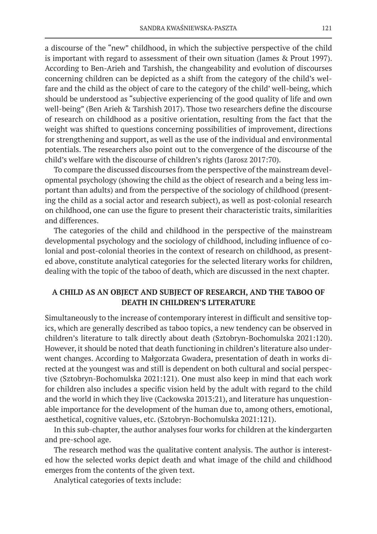a discourse of the "new" childhood, in which the subjective perspective of the child is important with regard to assessment of their own situation (James & Prout 1997). According to Ben-Arieh and Tarshish, the changeability and evolution of discourses concerning children can be depicted as a shift from the category of the child's welfare and the child as the object of care to the category of the child' well-being, which should be understood as "subjective experiencing of the good quality of life and own well-being" (Ben Arieh & Tarshish 2017). Those two researchers define the discourse of research on childhood as a positive orientation, resulting from the fact that the weight was shifted to questions concerning possibilities of improvement, directions for strengthening and support, as well as the use of the individual and environmental potentials. The researchers also point out to the convergence of the discourse of the child's welfare with the discourse of children's rights (Jarosz 2017:70).

To compare the discussed discourses from the perspective of the mainstream developmental psychology (showing the child as the object of research and a being less important than adults) and from the perspective of the sociology of childhood (presenting the child as a social actor and research subject), as well as post-colonial research on childhood, one can use the figure to present their characteristic traits, similarities and differences.

The categories of the child and childhood in the perspective of the mainstream developmental psychology and the sociology of childhood, including influence of colonial and post-colonial theories in the context of research on childhood, as presented above, constitute analytical categories for the selected literary works for children, dealing with the topic of the taboo of death, which are discussed in the next chapter.

# **A CHILD AS AN OBJECT AND SUBJECT OF RESEARCH, AND THE TABOO OF DEATH IN CHILDREN'S LITERATURE**

Simultaneously to the increase of contemporary interest in difficult and sensitive topics, which are generally described as taboo topics, a new tendency can be observed in children's literature to talk directly about death (Sztobryn-Bochomulska 2021:120). However, it should be noted that death functioning in children's literature also underwent changes. According to Małgorzata Gwadera, presentation of death in works directed at the youngest was and still is dependent on both cultural and social perspective (Sztobryn-Bochomulska 2021:121). One must also keep in mind that each work for children also includes a specific vision held by the adult with regard to the child and the world in which they live (Cackowska 2013:21), and literature has unquestionable importance for the development of the human due to, among others, emotional, aesthetical, cognitive values, etc. (Sztobryn-Bochomulska 2021:121).

In this sub-chapter, the author analyses four works for children at the kindergarten and pre-school age.

The research method was the qualitative content analysis. The author is interested how the selected works depict death and what image of the child and childhood emerges from the contents of the given text.

Analytical categories of texts include: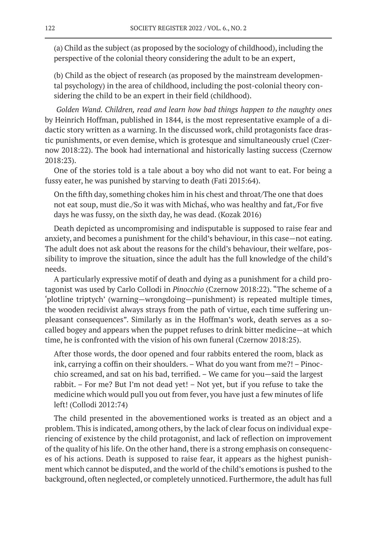(a) Child as the subject (as proposed by the sociology of childhood), including the perspective of the colonial theory considering the adult to be an expert,

(b) Child as the object of research (as proposed by the mainstream developmental psychology) in the area of childhood, including the post-colonial theory considering the child to be an expert in their field (childhood).

*Golden Wand. Children, read and learn how bad things happen to the naughty ones* by Heinrich Hoffman, published in 1844, is the most representative example of a didactic story written as a warning. In the discussed work, child protagonists face drastic punishments, or even demise, which is grotesque and simultaneously cruel (Czernow 2018:22). The book had international and historically lasting success (Czernow 2018:23).

One of the stories told is a tale about a boy who did not want to eat. For being a fussy eater, he was punished by starving to death (Fati 2015:64).

On the fifth day, something chokes him in his chest and throat/The one that does not eat soup, must die./So it was with Michaś, who was healthy and fat,/For five days he was fussy, on the sixth day, he was dead. (Kozak 2016)

Death depicted as uncompromising and indisputable is supposed to raise fear and anxiety, and becomes a punishment for the child's behaviour, in this case—not eating. The adult does not ask about the reasons for the child's behaviour, their welfare, possibility to improve the situation, since the adult has the full knowledge of the child's needs.

A particularly expressive motif of death and dying as a punishment for a child protagonist was used by Carlo Collodi in *Pinocchio* (Czernow 2018:22). "The scheme of a 'plotline triptych' (warning—wrongdoing—punishment) is repeated multiple times, the wooden recidivist always strays from the path of virtue, each time suffering unpleasant consequences". Similarly as in the Hoffman's work, death serves as a socalled bogey and appears when the puppet refuses to drink bitter medicine—at which time, he is confronted with the vision of his own funeral (Czernow 2018:25).

After those words, the door opened and four rabbits entered the room, black as ink, carrying a coffin on their shoulders. – What do you want from me?! – Pinocchio screamed, and sat on his bad, terrified. – We came for you—said the largest rabbit. – For me? But I'm not dead yet! – Not yet, but if you refuse to take the medicine which would pull you out from fever, you have just a few minutes of life left! (Collodi 2012:74)

The child presented in the abovementioned works is treated as an object and a problem. This is indicated, among others, by the lack of clear focus on individual experiencing of existence by the child protagonist, and lack of reflection on improvement of the quality of his life. On the other hand, there is a strong emphasis on consequences of his actions. Death is supposed to raise fear, it appears as the highest punishment which cannot be disputed, and the world of the child's emotions is pushed to the background, often neglected, or completely unnoticed. Furthermore, the adult has full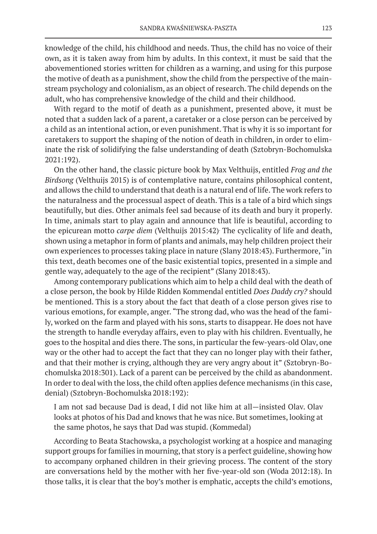knowledge of the child, his childhood and needs. Thus, the child has no voice of their own, as it is taken away from him by adults. In this context, it must be said that the abovementioned stories written for children as a warning, and using for this purpose the motive of death as a punishment, show the child from the perspective of the mainstream psychology and colonialism, as an object of research. The child depends on the adult, who has comprehensive knowledge of the child and their childhood.

With regard to the motif of death as a punishment, presented above, it must be noted that a sudden lack of a parent, a caretaker or a close person can be perceived by a child as an intentional action, or even punishment. That is why it is so important for caretakers to support the shaping of the notion of death in children, in order to eliminate the risk of solidifying the false understanding of death (Sztobryn-Bochomulska 2021:192).

On the other hand, the classic picture book by Max Velthuijs, entitled *Frog and the Birdsong* (Velthuijs 2015) is of contemplative nature, contains philosophical content, and allows the child to understand that death is a natural end of life. The work refers to the naturalness and the processual aspect of death. This is a tale of a bird which sings beautifully, but dies. Other animals feel sad because of its death and bury it properly. In time, animals start to play again and announce that life is beautiful, according to the epicurean motto *carpe diem* (Velthuijs 2015:42). The cyclicality of life and death, shown using a metaphor in form of plants and animals, may help children project their own experiences to processes taking place in nature (Slany 2018:43). Furthermore, "in this text, death becomes one of the basic existential topics, presented in a simple and gentle way, adequately to the age of the recipient" (Slany 2018:43).

Among contemporary publications which aim to help a child deal with the death of a close person, the book by Hilde Ridden Kommendal entitled *Does Daddy cry?* should be mentioned. This is a story about the fact that death of a close person gives rise to various emotions, for example, anger. "The strong dad, who was the head of the family, worked on the farm and played with his sons, starts to disappear. He does not have the strength to handle everyday affairs, even to play with his children. Eventually, he goes to the hospital and dies there. The sons, in particular the few-years-old Olav, one way or the other had to accept the fact that they can no longer play with their father, and that their mother is crying, although they are very angry about it" (Sztobryn-Bochomulska 2018:301). Lack of a parent can be perceived by the child as abandonment. In order to deal with the loss, the child often applies defence mechanisms (in this case, denial) (Sztobryn-Bochomulska 2018:192):

I am not sad because Dad is dead, I did not like him at all—insisted Olav. Olav looks at photos of his Dad and knows that he was nice. But sometimes, looking at the same photos, he says that Dad was stupid. (Kommedal)

According to Beata Stachowska, a psychologist working at a hospice and managing support groups for families in mourning, that story is a perfect guideline, showing how to accompany orphaned children in their grieving process. The content of the story are conversations held by the mother with her five-year-old son (Woda 2012:18). In those talks, it is clear that the boy's mother is emphatic, accepts the child's emotions,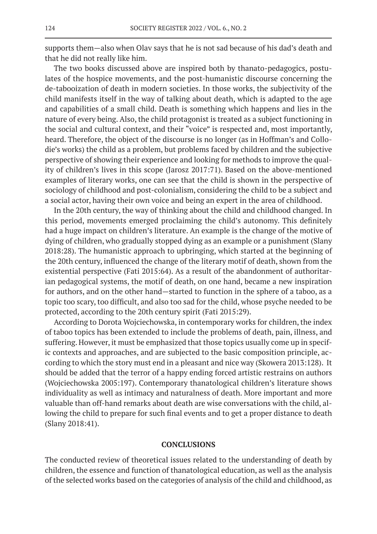supports them—also when Olav says that he is not sad because of his dad's death and that he did not really like him.

The two books discussed above are inspired both by thanato-pedagogics, postulates of the hospice movements, and the post-humanistic discourse concerning the de-tabooization of death in modern societies. In those works, the subjectivity of the child manifests itself in the way of talking about death, which is adapted to the age and capabilities of a small child. Death is something which happens and lies in the nature of every being. Also, the child protagonist is treated as a subject functioning in the social and cultural context, and their "voice" is respected and, most importantly, heard. Therefore, the object of the discourse is no longer (as in Hoffman's and Collodie's works) the child as a problem, but problems faced by children and the subjective perspective of showing their experience and looking for methods to improve the quality of children's lives in this scope (Jarosz 2017:71). Based on the above-mentioned examples of literary works, one can see that the child is shown in the perspective of sociology of childhood and post-colonialism, considering the child to be a subject and a social actor, having their own voice and being an expert in the area of childhood.

In the 20th century, the way of thinking about the child and childhood changed. In this period, movements emerged proclaiming the child's autonomy. This definitely had a huge impact on children's literature. An example is the change of the motive of dying of children, who gradually stopped dying as an example or a punishment (Slany 2018:28). The humanistic approach to upbringing, which started at the beginning of the 20th century, influenced the change of the literary motif of death, shown from the existential perspective (Fati 2015:64). As a result of the abandonment of authoritarian pedagogical systems, the motif of death, on one hand, became a new inspiration for authors, and on the other hand—started to function in the sphere of a taboo, as a topic too scary, too difficult, and also too sad for the child, whose psyche needed to be protected, according to the 20th century spirit (Fati 2015:29).

According to Dorota Wojciechowska, in contemporary works for children, the index of taboo topics has been extended to include the problems of death, pain, illness, and suffering. However, it must be emphasized that those topics usually come up in specific contexts and approaches, and are subjected to the basic composition principle, according to which the story must end in a pleasant and nice way (Skowera 2013:128). It should be added that the terror of a happy ending forced artistic restrains on authors (Wojciechowska 2005:197). Contemporary thanatological children's literature shows individuality as well as intimacy and naturalness of death. More important and more valuable than off-hand remarks about death are wise conversations with the child, allowing the child to prepare for such final events and to get a proper distance to death (Slany 2018:41).

## **CONCLUSIONS**

The conducted review of theoretical issues related to the understanding of death by children, the essence and function of thanatological education, as well as the analysis of the selected works based on the categories of analysis of the child and childhood, as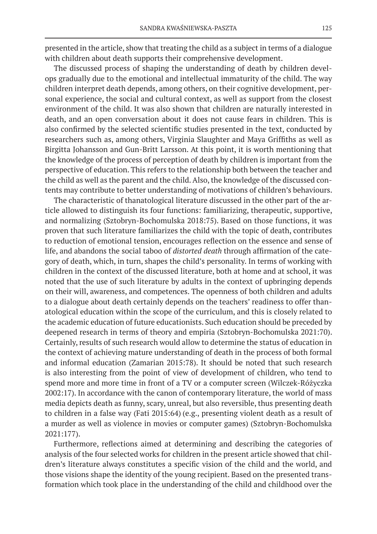presented in the article, show that treating the child as a subject in terms of a dialogue with children about death supports their comprehensive development.

The discussed process of shaping the understanding of death by children develops gradually due to the emotional and intellectual immaturity of the child. The way children interpret death depends, among others, on their cognitive development, personal experience, the social and cultural context, as well as support from the closest environment of the child. It was also shown that children are naturally interested in death, and an open conversation about it does not cause fears in children. This is also confirmed by the selected scientific studies presented in the text, conducted by researchers such as, among others, Virginia Slaughter and Maya Griffiths as well as Birgitta Johansson and Gun-Britt Larsson. At this point, it is worth mentioning that the knowledge of the process of perception of death by children is important from the perspective of education. This refers to the relationship both between the teacher and the child as well as the parent and the child. Also, the knowledge of the discussed contents may contribute to better understanding of motivations of children's behaviours.

The characteristic of thanatological literature discussed in the other part of the article allowed to distinguish its four functions: familiarizing, therapeutic, supportive, and normalizing (Sztobryn-Bochomulska 2018:75). Based on those functions, it was proven that such literature familiarizes the child with the topic of death, contributes to reduction of emotional tension, encourages reflection on the essence and sense of life, and abandons the social taboo of *distorted death* through affirmation of the category of death, which, in turn, shapes the child's personality. In terms of working with children in the context of the discussed literature, both at home and at school, it was noted that the use of such literature by adults in the context of upbringing depends on their will, awareness, and competences. The openness of both children and adults to a dialogue about death certainly depends on the teachers' readiness to offer thanatological education within the scope of the curriculum, and this is closely related to the academic education of future educationists. Such education should be preceded by deepened research in terms of theory and empiria (Sztobryn-Bochomulska 2021:70). Certainly, results of such research would allow to determine the status of education in the context of achieving mature understanding of death in the process of both formal and informal education (Zamarian 2015:78). It should be noted that such research is also interesting from the point of view of development of children, who tend to spend more and more time in front of a TV or a computer screen (Wilczek-Różyczka 2002:17). In accordance with the canon of contemporary literature, the world of mass media depicts death as funny, scary, unreal, but also reversible, thus presenting death to children in a false way (Fati 2015:64) (e.g., presenting violent death as a result of a murder as well as violence in movies or computer games) (Sztobryn-Bochomulska 2021:177).

Furthermore, reflections aimed at determining and describing the categories of analysis of the four selected works for children in the present article showed that children's literature always constitutes a specific vision of the child and the world, and those visions shape the identity of the young recipient. Based on the presented transformation which took place in the understanding of the child and childhood over the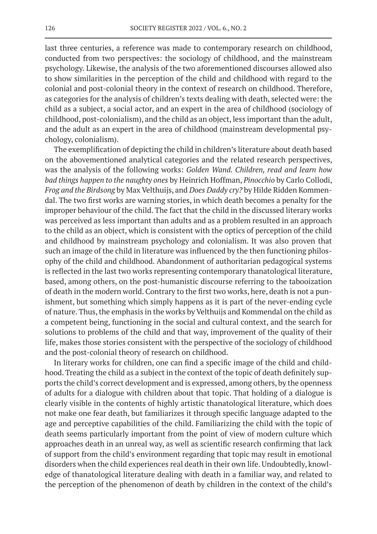last three centuries, a reference was made to contemporary research on childhood, conducted from two perspectives: the sociology of childhood, and the mainstream psychology. Likewise, the analysis of the two aforementioned discourses allowed also to show similarities in the perception of the child and childhood with regard to the colonial and post-colonial theory in the context of research on childhood. Therefore, as categories for the analysis of children's texts dealing with death, selected were: the child as a subject, a social actor, and an expert in the area of childhood (sociology of childhood, post-colonialism), and the child as an object, less important than the adult, and the adult as an expert in the area of childhood (mainstream developmental psychology, colonialism).

The exemplification of depicting the child in children's literature about death based on the abovementioned analytical categories and the related research perspectives, was the analysis of the following works: *Golden Wand. Children, read and learn how bad things happen to the naughty ones* by Heinrich Hoffman, *Pinocchio* by Carlo Collodi, *Frog and the Birdsong* by Max Velthuijs, and *Does Daddy cry?* by Hilde Ridden Kommendal. The two first works are warning stories, in which death becomes a penalty for the improper behaviour of the child. The fact that the child in the discussed literary works was perceived as less important than adults and as a problem resulted in an approach to the child as an object, which is consistent with the optics of perception of the child and childhood by mainstream psychology and colonialism. It was also proven that such an image of the child in literature was influenced by the then functioning philosophy of the child and childhood. Abandonment of authoritarian pedagogical systems is reflected in the last two works representing contemporary thanatological literature, based, among others, on the post-humanistic discourse referring to the tabooization of death in the modern world. Contrary to the first two works, here, death is not a punishment, but something which simply happens as it is part of the never-ending cycle of nature. Thus, the emphasis in the works by Velthuijs and Kommendal on the child as a competent being, functioning in the social and cultural context, and the search for solutions to problems of the child and that way, improvement of the quality of their life, makes those stories consistent with the perspective of the sociology of childhood and the post-colonial theory of research on childhood.

In literary works for children, one can find a specific image of the child and childhood. Treating the child as a subject in the context of the topic of death definitely supports the child's correct development and is expressed, among others, by the openness of adults for a dialogue with children about that topic. That holding of a dialogue is clearly visible in the contents of highly artistic thanatological literature, which does not make one fear death, but familiarizes it through specific language adapted to the age and perceptive capabilities of the child. Familiarizing the child with the topic of death seems particularly important from the point of view of modern culture which approaches death in an unreal way, as well as scientific research confirming that lack of support from the child's environment regarding that topic may result in emotional disorders when the child experiences real death in their own life. Undoubtedly, knowledge of thanatological literature dealing with death in a familiar way, and related to the perception of the phenomenon of death by children in the context of the child's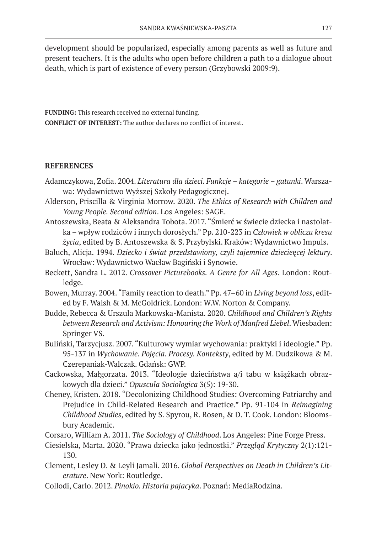development should be popularized, especially among parents as well as future and present teachers. It is the adults who open before children a path to a dialogue about death, which is part of existence of every person (Grzybowski 2009:9).

**FUNDING:** This research received no external funding. **CONFLICT OF INTEREST:** The author declares no conflict of interest.

# **REFERENCES**

- Adamczykowa, Zofia. 2004. *Literatura dla dzieci. Funkcje kategorie gatunki*. Warszawa: Wydawnictwo Wyższej Szkoły Pedagogicznej.
- Alderson, Priscilla & Virginia Morrow. 2020. *The Ethics of Research with Children and Young People. Second edition*. Los Angeles: SAGE.
- Antoszewska, Beata & Aleksandra Tobota. 2017. "Śmierć w świecie dziecka i nastolatka – wpływ rodziców i innych dorosłych." Pp. 210-223 in *Człowiek w obliczu kresu życia*, edited by B. Antoszewska & S. Przybylski. Kraków: Wydawnictwo Impuls.
- Baluch, Alicja. 1994. *Dziecko i świat przedstawiony, czyli tajemnice dziecie*ę*cej lektury*. Wrocław: Wydawnictwo Wacław Bagiński i Synowie.
- Beckett, Sandra L. 2012. *Crossover Picturebooks. A Genre for All Ages*. London: Routledge.
- Bowen, Murray. 2004. "Family reaction to death." Pp. 47–60 in *Living beyond loss*, edited by F. Walsh & M. McGoldrick. London: W.W. Norton & Company.
- Budde, Rebecca & Urszula Markowska-Manista. 2020. *Childhood and Children's Rights between Research and Activism: Honouring the Work of Manfred Liebel*. Wiesbaden: Springer VS.
- Buliński, Tarzycjusz. 2007. "Kulturowy wymiar wychowania: praktyki i ideologie." Pp. 95-137 in *Wychowanie. Pojęcia. Procesy. Konteksty*, edited by M. Dudzikowa & M. Czerepaniak-Walczak. Gdańsk: GWP.
- Cackowska, Małgorzata. 2013. "Ideologie dzieciństwa a/i tabu w książkach obrazkowych dla dzieci." *Opuscula Sociologica* 3(5): 19-30.
- Cheney, Kristen. 2018. "Decolonizing Childhood Studies: Overcoming Patriarchy and Prejudice in Child-Related Research and Practice." Pp. 91-104 in *Reimagining Childhood Studies*, edited by S. Spyrou, R. Rosen, & D. T. Cook. London: Bloomsbury Academic.
- Corsaro, William A. 2011. *The Sociology of Childhood*. Los Angeles: Pine Forge Press.
- Ciesielska, Marta. 2020. "Prawa dziecka jako jednostki." *Przegląd Krytyczny* 2(1):121- 130.
- Clement, Lesley D. & Leyli Jamali. 2016. *Global Perspectives on Death in Children's Literature*. New York: Routledge.
- Collodi, Carlo. 2012. *Pinokio. Historia pajacyka*. Poznań: MediaRodzina.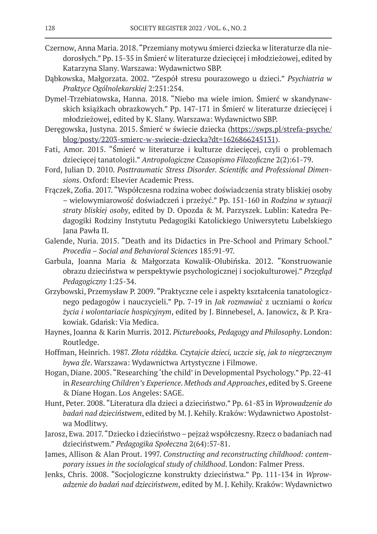- Czernow, Anna Maria. 2018. "Przemiany motywu śmierci dziecka w literaturze dla niedorosłych." Pp. 15-35 in Śmierć w literaturze dziecięcej i młodzieżowej, edited by Katarzyna Slany. Warszawa: Wydawnictwo SBP.
- Dąbkowska, Małgorzata. 2002. "Zespół stresu pourazowego u dzieci." *Psychiatria w Praktyce Ogólnolekarskiej* 2:251:254.
- Dymel-Trzebiatowska, Hanna. 2018. "Niebo ma wiele imion. Śmierć w skandynawskich książkach obrazkowych." Pp. 147-171 in Śmierć w literaturze dziecięcej i młodzieżowej, edited by K. Slany. Warszawa: Wydawnictwo SBP.
- Deręgowska, Justyna. 2015. Śmierć w świecie dziecka (https://swps.pl/strefa-psyche/ blog/posty/2203-smierc-w-swiecie-dziecka?dt=1626866245131).
- Fati, Amor. 2015. "Śmierć w literaturze i kulturze dziecięcej, czyli o problemach dziecięcej tanatologii." *Antropologiczne Czasopismo Filozoficzne* 2(2):61-79.
- Ford, Julian D. 2010. *Posttraumatic Stress Disorder. Scientific and Professional Dimensions*. Oxford: Elsevier Academic Press.
- Frączek, Zofia. 2017. "Współczesna rodzina wobec doświadczenia straty bliskiej osoby – wielowymiarowość doświadczeń i przeżyć." Pp. 151-160 in *Rodzina w sytuacji straty bliskiej osoby*, edited by D. Opozda & M. Parzyszek. Lublin: Katedra Pedagogiki Rodziny Instytutu Pedagogiki Katolickiego Uniwersytetu Lubelskiego Jana Pawła II.
- Galende, Nuria. 2015. "Death and its Didactics in Pre-School and Primary School." *Procedia – Social and Behavioral Sciences* 185:91-97.
- Garbula, Joanna Maria & Małgorzata Kowalik-Olubińska. 2012. "Konstruowanie obrazu dzieciństwa w perspektywie psychologicznej i socjokulturowej." *Przegląd Pedagogiczny* 1:25-34.
- Grzybowski, Przemysław P. 2009. "Praktyczne cele i aspekty kształcenia tanatologicznego pedagogów i nauczycieli." Pp. 7-19 in *Jak rozmawiac*́ z uczniami o *końcu życia i wolontariacie hospicyjnym*, edited by J. Binnebesel, A. Janowicz, & P. Krakowiak. Gdańsk: Via Medica.
- Haynes, Joanna & Karin Murris. 2012. *Picturebooks, Pedagogy and Philosophy*. London: Routledge.
- Hoffman, Heinrich. 1987. *Złota różdżka. Czytajcie dzieci, uczcie się, jak to niegrzecznym bywa źle*. Warszawa: Wydawnictwa Artystyczne i Filmowe.
- Hogan, Diane. 2005. "Researching 'the child' in Developmental Psychology." Pp. 22-41 in *Researching Children's Experience. Methods and Approaches*, edited by S. Greene & Diane Hogan. Los Angeles: SAGE.
- Hunt, Peter. 2008. "Literatura dla dzieci a dzieciństwo." Pp. 61-83 in *Wprowadzenie do badań nad dzieciństwem*, edited by M. J. Kehily. Kraków: Wydawnictwo Apostolstwa Modlitwy.
- Jarosz, Ewa. 2017. "Dziecko i dzieciństwo pejzaż współczesny. Rzecz o badaniach nad dzieciństwem." *Pedagogika Społeczna* 2(64):57-81.
- James, Allison & Alan Prout. 1997. *Constructing and reconstructing childhood: contemporary issues in the sociological study of childhood*. London: Falmer Press.
- Jenks, Chris. 2008. "Socjologiczne konstrukty dzieciństwa." Pp. 111-134 in *Wprowadzenie do badań nad dzieciństwem*, edited by M. J. Kehily. Kraków: Wydawnictwo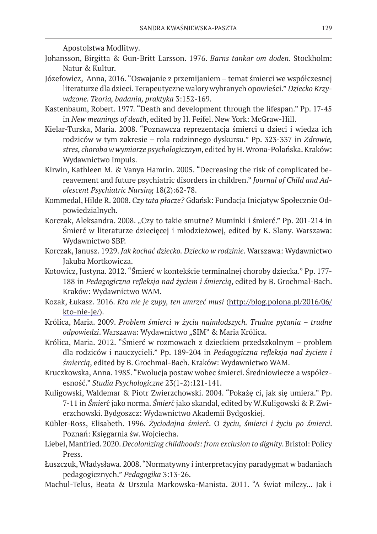Apostolstwa Modlitwy.

- Johansson, Birgitta & Gun-Britt Larsson. 1976. *Barns tankar om doden*. Stockholm: Natur & Kultur.
- Józefowicz, Anna, 2016. "Oswajanie z przemijaniem temat śmierci we współczesnej literaturze dla dzieci. Terapeutyczne walory wybranych opowieści." *Dziecko Krzywdzone. Teoria, badania, praktyka* 3:152-169.
- Kastenbaum, Robert. 1977. "Death and development through the lifespan." Pp. 17-45 in *New meanings of death*, edited by H. Feifel. New York: McGraw-Hill.
- Kielar-Turska, Maria. 2008. "Poznawcza reprezentacja śmierci u dzieci i wiedza ich rodziców w tym zakresie – rola rodzinnego dyskursu." Pp. 323-337 in *Zdrowie, stres, choroba w wymiarze psychologicznym*, edited by H. Wrona-Polańska. Kraków: Wydawnictwo Impuls.
- Kirwin, Kathleen M. & Vanya Hamrin. 2005. "Decreasing the risk of complicated bereavement and future psychiatric disorders in children." *Journal of Child and Adolescent Psychiatric Nursing* 18(2):62-78.
- Kommedal, Hilde R. 2008. *Czy tata płacze?* Gdańsk: Fundacja Inicjatyw Społecznie Odpowiedzialnych.
- Korczak, Aleksandra. 2008. "Czy to takie smutne? Muminki i śmierć." Pp. 201-214 in Śmierć w literaturze dziecięcej i młodzieżowej, edited by K. Slany. Warszawa: Wydawnictwo SBP.
- Korczak, Janusz. 1929. *Jak kochać dziecko. Dziecko w rodzinie*. Warszawa: Wydawnictwo Jakuba Mortkowicza.
- Kotowicz, Justyna. 2012. "Śmierć w kontekście terminalnej choroby dziecka." Pp. 177- 188 in *Pedagogiczna refleksja nad życiem i śmiercią*, edited by B. Grochmal-Bach. Kraków: Wydawnictwo WAM.
- Kozak, Łukasz. 2016. *Kto nie je zupy, ten umrzeć musi* (http://blog.polona.pl/2016/06/ kto-nie-je/).
- Królica, Maria. 2009. *Problem śmierci w życiu najmłodszych. Trudne pytania trudne*  odpowiedzi. Warszawa: Wydawnictwo "SIM" & Maria Królica.
- Królica, Maria. 2012. "Śmierć w rozmowach z dzieckiem przedszkolnym problem dla rodziców i nauczycieli." Pp. 189-204 in *Pedagogiczna refleksja nad życiem i śmiercią*, edited by B. Grochmal-Bach. Kraków: Wydawnictwo WAM.
- Kruczkowska, Anna. 1985. "Ewolucja postaw wobec śmierci. Średniowiecze a współczesność." *Studia Psychologiczne* 23(1-2):121-141.
- Kuligowski, Waldemar & Piotr Zwierzchowski. 2004. "Pokażę ci, jak się umiera." Pp. 7-11 in *Śmierc*́ jako norma. *Śmierc*́ jako skandal, edited by W.Kuligowski & P. Zwierzchowski. Bydgoszcz: Wydawnictwo Akademii Bydgoskiej.
- Kübler-Ross, Elisabeth. 1996. *Życiodajna śmierc*́. O *życiu, śmierci i życiu po śmierci*. Poznań: Księgarnia św. Wojciecha.
- Liebel, Manfried. 2020. *Decolonizing childhoods: from exclusion to dignity*. Bristol: Policy Press.
- Łuszczuk, Władysława. 2008. "Normatywny i interpretacyjny paradygmat w badaniach pedagogicznych." *Pedagogika* 3:13-26.
- Machul-Telus, Beata & Urszula Markowska-Manista. 2011. "A świat milczy... Jak i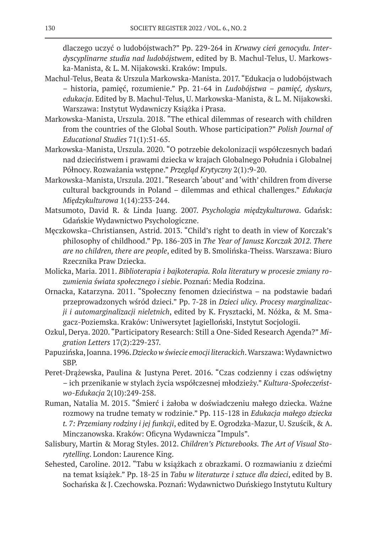dlaczego uczyć o ludobójstwach?" Pp. 229-264 in *Krwawy cień genocydu. Interdyscyplinarne studia nad ludobójstwem*, edited by B. Machul-Telus, U. Markowska-Manista, & L. M. Nijakowski. Kraków: Impuls.

- Machul-Telus, Beata & Urszula Markowska-Manista. 2017. "Edukacja o ludobójstwach – historia, pamięć, rozumienie." Pp. 21-64 in *Ludobójstwa – pamięć, dyskurs, edukacja*. Edited by B. Machul-Telus, U. Markowska-Manista, & L. M. Nijakowski. Warszawa: Instytut Wydawniczy Książka i Prasa.
- Markowska-Manista, Urszula. 2018. "The ethical dilemmas of research with children from the countries of the Global South. Whose participation?" *Polish Journal of Educational Studies* 71(1):51-65.
- Markowska-Manista, Urszula. 2020. "O potrzebie dekolonizacji współczesnych badań nad dzieciństwem i prawami dziecka w krajach Globalnego Południa i Globalnej Północy. Rozważania wstępne." *Przegląd Krytyczny* 2(1):9-20.
- Markowska-Manista, Urszula. 2021. "Research 'about' and 'with' children from diverse cultural backgrounds in Poland – dilemmas and ethical challenges." *Edukacja Międzykulturowa* 1(14):233-244.
- Matsumoto, David R. & Linda Juang. 2007. *Psychologia międzykulturowa*. Gdańsk: Gdańskie Wydawnictwo Psychologiczne.
- Męczkowska–Christiansen, Astrid. 2013. "Child's right to death in view of Korczak's philosophy of childhood." Pp. 186-203 in *The Year of Janusz Korczak 2012. There are no children, there are people*, edited by B. Smolińska-Theiss. Warszawa: Biuro Rzecznika Praw Dziecka.
- Molicka, Maria. 2011. *Biblioterapia i bajkoterapia. Rola literatury w procesie zmiany rozumienia świata społecznego i siebie*. Poznań: Media Rodzina.
- Ornacka, Katarzyna. 2011. "Społeczny fenomen dzieciństwa na podstawie badań przeprowadzonych wśród dzieci." Pp. 7-28 in *Dzieci ulicy. Procesy marginalizacji i automarginalizacji nieletnich*, edited by K. Frysztacki, M. Nóżka, & M. Smagacz-Poziemska. Kraków: Uniwersytet Jagielloński, Instytut Socjologii.
- Ozkul, Derya. 2020. "Participatory Research: Still a One-Sided Research Agenda?" *Migration Letters* 17(2):229-237.
- Papuzińska, Joanna. 1996. *Dziecko w świecie emocji literackich*. Warszawa: Wydawnictwo SBP.
- Peret-Drążewska, Paulina & Justyna Peret. 2016. "Czas codzienny i czas odświętny – ich przenikanie w stylach życia współczesnej młodzieży." *Kultura-Społeczeństwo-Edukacja* 2(10):249-258.
- Ruman, Natalia M. 2015. "Śmierć i żałoba w doświadczeniu małego dziecka. Ważne rozmowy na trudne tematy w rodzinie." Pp. 115-128 in *Edukacja małego dziecka t. 7: Przemiany rodziny i jej funkcji*, edited by E. Ogrodzka-Mazur, U. Szuścik, & A. Minczanowska. Kraków: Oficyna Wydawnicza "Impuls".
- Salisbury, Martin & Morag Styles. 2012. *Children's Picturebooks. The Art of Visual Storytelling*. London: Laurence King.
- Sehested, Caroline. 2012. "Tabu w książkach z obrazkami. O rozmawianiu z dziećmi na temat książek." Pp. 18-25 in *Tabu w literaturze i sztuce dla dzieci*, edited by B. Sochańska & J. Czechowska. Poznań: Wydawnictwo Duńskiego Instytutu Kultury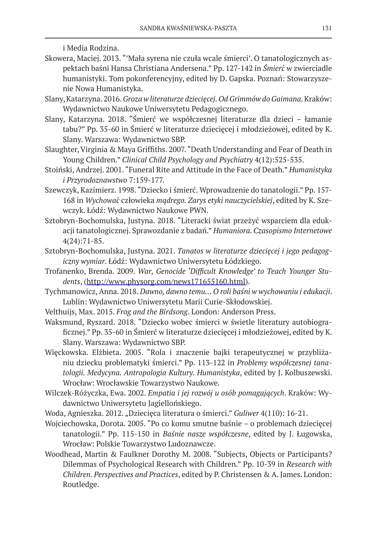i Media Rodzina.

- Skowera, Maciej. 2013. "'Mała syrena nie czuła wcale śmierci'. O tanatologicznych aspektach baśni Hansa Christiana Andersena." Pp. 127-142 in *Śmierc*́ w zwierciadle humanistyki. Tom pokonferencyjny, edited by D. Gapska. Poznań: Stowarzyszenie Nowa Humanistyka.
- Slany, Katarzyna. 2016. *Groza w literaturze dziecięcej. Od Grimmów do Gaimana*. Kraków: Wydawnictwo Naukowe Uniwersytetu Pedagogicznego.
- Slany, Katarzyna. 2018. "Śmierć we współczesnej literaturze dla dzieci łamanie tabu?" Pp. 35-60 in Śmierć w literaturze dziecięcej i młodzieżowej, edited by K. Slany. Warszawa: Wydawnictwo SBP.
- Slaughter, Virginia & Maya Griffiths. 2007. "Death Understanding and Fear of Death in Young Children." *Clinical Child Psychology and Psychiatry* 4(12):525-535.
- Stoiński, Andrzej. 2001. "Funeral Rite and Attitude in the Face of Death." *Humanistyka i Przyrodoznawstwo* 7:159-177.
- Szewczyk, Kazimierz. 1998. "Dziecko i śmierć. Wprowadzenie do tanatologii." Pp. 157- 168 in *Wychowac*́ człowieka *mądrego. Zarys etyki nauczycielskiej*, edited by K. Szewczyk. Łódź: Wydawnictwo Naukowe PWN.
- Sztobryn-Bochomulska, Justyna. 2018. "Literacki świat przeżyć wsparciem dla edukacji tanatologicznej. Sprawozdanie z badań." *Humaniora. Czasopismo Internetowe* 4(24):71-85.
- Sztobryn-Bochomulska, Justyna. 2021. *Tanatos w literaturze dziecięcej i jego pedagogiczny wymiar*. Łódź: Wydawnictwo Uniwersytetu Łódzkiego.
- Trofanenko, Brenda. 2009. *War, Genocide 'Difficult Knowledge' to Teach Younger Students*, (http://www.physorg.com/news171655160.html).
- Tychmanowicz, Anna. 2018. *Dawno, dawno temu… O roli baśni w wychowaniu i edukacji*. Lublin: Wydawnictwo Uniwersytetu Marii Curie-Skłodowskiej.
- Velthuijs, Max. 2015. *Frog and the Birdsong*. London: Anderson Press.
- Waksmund, Ryszard. 2018. "Dziecko wobec śmierci w świetle literatury autobiograficznej." Pp. 35-60 in Śmierć w literaturze dziecięcej i młodzieżowej, edited by K. Slany. Warszawa: Wydawnictwo SBP.
- Więckowska. Elżbieta. 2005. "Rola i znaczenie bajki terapeutycznej w przybliżaniu dziecku problematyki śmierci." Pp. 113-122 in *Problemy współczesnej tanatologii. Medycyna. Antropologia Kultury. Humanistyka*, edited by J. Kolbuszewski. Wrocław: Wrocławskie Towarzystwo Naukowe.
- Wilczek-Różyczka, Ewa. 2002. *Empatia i jej rozwój u osób pomagających*. Kraków: Wydawnictwo Uniwersytetu Jagiellońskiego.
- Woda, Agnieszka. 2012. "Dziecięca literatura o śmierci." *Guliwer* 4(110): 16-21.
- Wojciechowska, Dorota. 2005. "Po co komu smutne baśnie o problemach dziecięcej tanatologii." Pp. 115-150 in *Baśnie nasze współczesne*, edited by J. Ługowska, Wrocław: Polskie Towarzystwo Ludoznawcze.
- Woodhead, Martin & Faulkner Dorothy M. 2008. "Subjects, Objects or Participants? Dilemmas of Psychological Research with Children." Pp. 10-39 in *Research with Children. Perspectives and Practices*, edited by P. Christensen & A. James. London: Routledge.